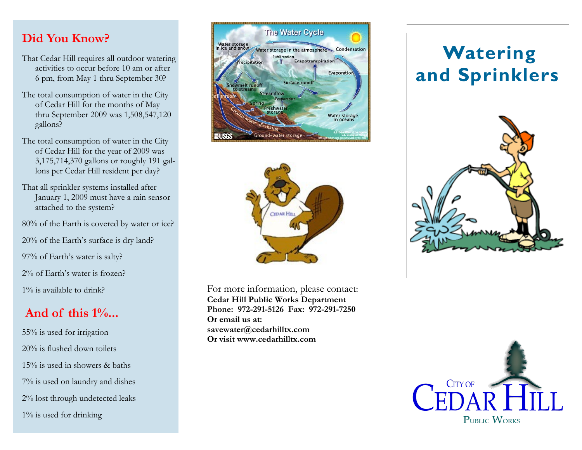#### **Did You Know?**

- That Cedar Hill requires all outdoor watering activities to occur before 10 am or after 6 pm, from May 1 thru September 30?
- The total consumption of water in the City of Cedar Hill for the months of May thru September 2009 was 1,508,547,120 gallons?
- The total consumption of water in the City of Cedar Hill for the year of 2009 was 3,175,714,370 gallons or roughly 191 gallons per Cedar Hill resident per day?
- That all sprinkler systems installed after January 1, 2009 must have a rain sensor attached to the system?
- 80% of the Earth is covered by water or ice?
- 20% of the Earth's surface is dry land?
- 97% of Earth's water is salty?
- 2% of Earth's water is frozen?
- 1% is available to drink?

## **And of this 1%...**

55% is used for irrigation 20% is flushed down toilets 15% is used in showers & baths 7% is used on laundry and dishes 2% lost through undetected leaks 1% is used for drinking





For more information, please contact: **Cedar Hill Public Works Department Phone: 972-291-5126 Fax: 972-291-7250 Or email us at: savewater@cedarhilltx.com Or visit www.cedarhilltx.com**

# **Watering and Sprinklers**